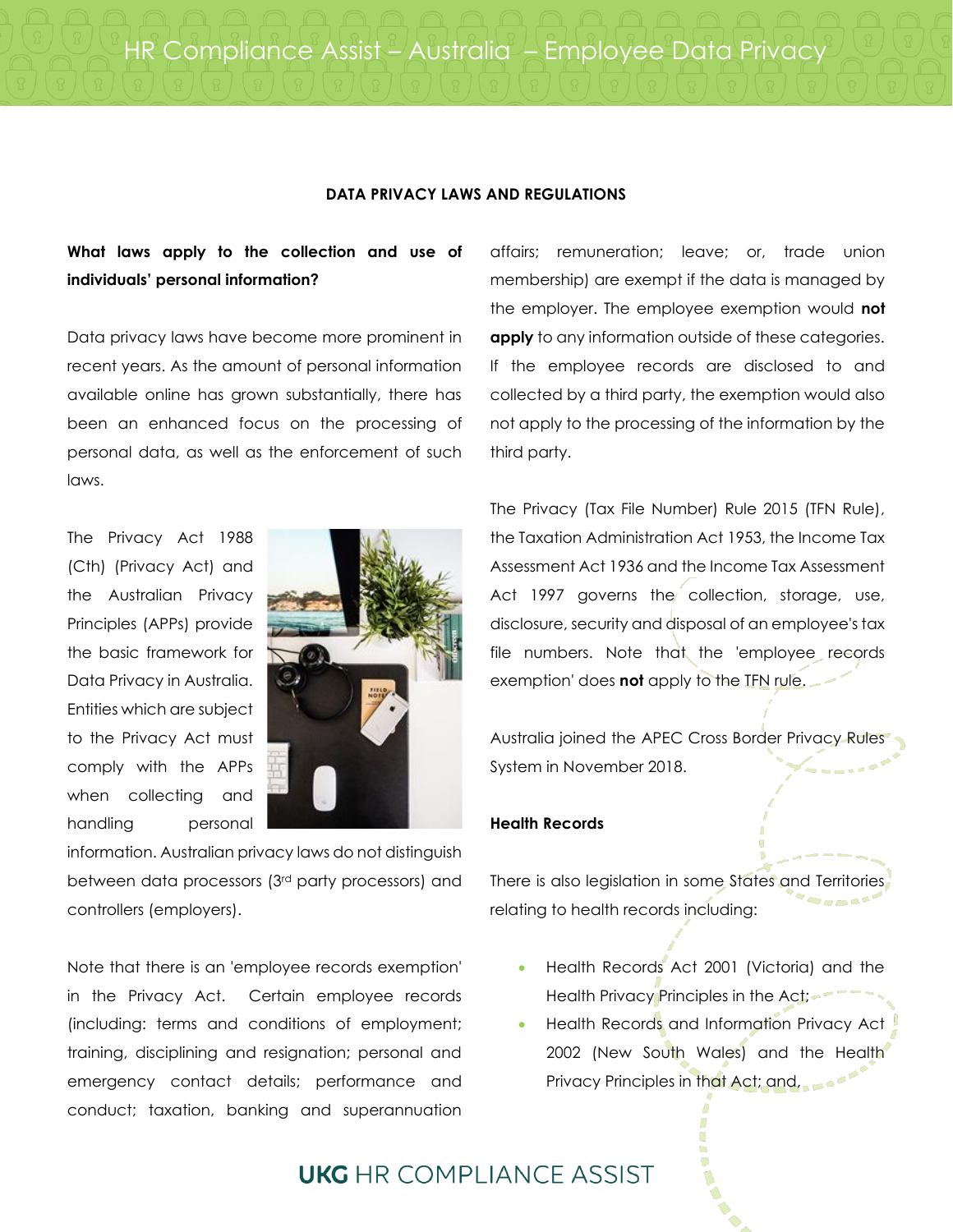#### **DATA PRIVACY LAWS AND REGULATIONS**

### **What laws apply to the collection and use of individuals' personal information?**

Data privacy laws have become more prominent in recent years. As the amount of personal information available online has grown substantially, there has been an enhanced focus on the processing of personal data, as well as the enforcement of such laws.

The Privacy Act 1988 (Cth) (Privacy Act) and the Australian Privacy Principles (APPs) provide the basic framework for Data Privacy in Australia. Entities which are subject to the Privacy Act must comply with the APPs when collecting and handling personal



information. Australian privacy laws do not distinguish between data processors (3rd party processors) and controllers (employers).

Note that there is an 'employee records exemption' in the Privacy Act. Certain employee records (including: terms and conditions of employment; training, disciplining and resignation; personal and emergency contact details; performance and conduct; taxation, banking and superannuation

affairs; remuneration; leave; or, trade union membership) are exempt if the data is managed by the employer. The employee exemption would **not apply** to any information outside of these categories. If the employee records are disclosed to and collected by a third party, the exemption would also not apply to the processing of the information by the third party.

The Privacy (Tax File Number) Rule 2015 (TFN Rule), the Taxation Administration Act 1953, the Income Tax Assessment Act 1936 and the Income Tax Assessment Act 1997 governs the collection, storage, use, disclosure, security and disposal of an employee's tax file numbers. Note that the 'employee records exemption' does **not** apply to the TFN rule.

Australia joined the APEC Cross Border Privacy Rules System in November 2018.

### **Health Records**

There is also legislation in some States and Territories relating to health records including:

- Health Records Act 2001 (Victoria) and the Health Privacy Principles in the Act;
- Health Records and Information Privacy Act 2002 (New South Wales) and the Health Privacy Principles in that Act; and,

## **UKG** HR COMPI IANCE ASSIST